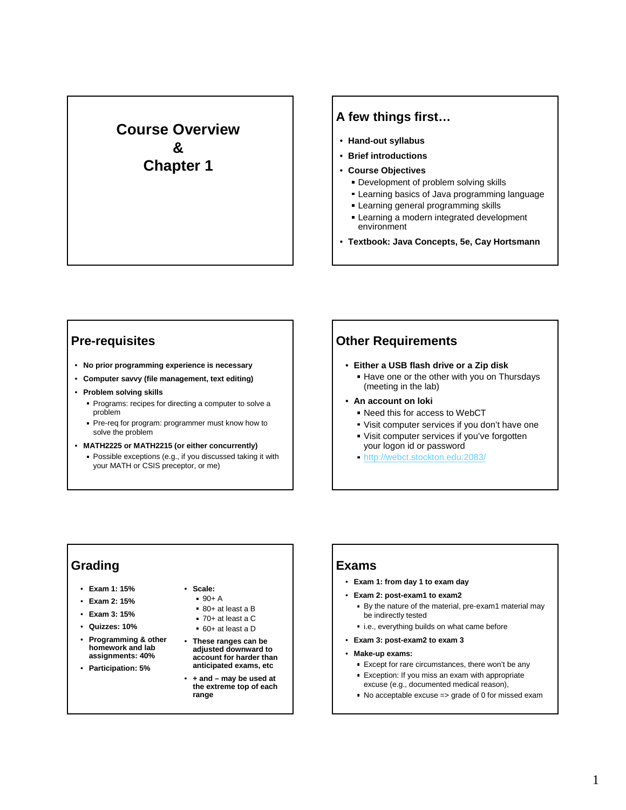# **Course Overview & Chapter 1**

## **A few things first…**

- **Hand-out syllabus**
- **Brief introductions**
- **Course Objectives**
	- **Development of problem solving skills**
	- Learning basics of Java programming language
	- **Learning general programming skills**
	- **Learning a modern integrated development** environment
- **Textbook: Java Concepts, 5e, Cay Hortsmann**

## **Pre-requisites**

- **No prior programming experience is necessary**
- **Computer savvy (file management, text editing)**
- **Problem solving skills**
	- **Programs: recipes for directing a computer to solve a** problem
	- Pre-req for program: programmer must know how to solve the problem
- **MATH2225 or MATH2215 (or either concurrently)** Possible exceptions (e.g., if you discussed taking it with your MATH or CSIS preceptor, or me)

## **Other Requirements**

- **Either a USB flash drive or a Zip disk**
	- Have one or the other with you on Thursdays (meeting in the lab)
- **An account on loki**
	- Need this for access to WebCT
	- Visit computer services if you don't have one
	- Visit computer services if you've forgotten your logon id or password
	- http://webct.stockton.edu:2083/

### **Grading**

- **Exam 1: 15%**
- **Exam 2: 15%**
- **Exam 3: 15%**
- **Quizzes: 10%**
- **Programming & other homework and lab assignments: 40%**
- **Participation: 5%**

## • **Scale:**

- $90+ A$
- 80+ at least a B
- 70+ at least a C
- 60+ at least a D
- **These ranges can be adjusted downward to account for harder than anticipated exams, etc**
- **+ and may be used at the extreme top of each range**

#### **Exams**

- **Exam 1: from day 1 to exam day**
- **Exam 2: post-exam1 to exam2**
	- By the nature of the material, pre-exam1 material may be indirectly tested
	- i.e., everything builds on what came before
- **Exam 3: post-exam2 to exam 3**
- **Make-up exams:** 
	- Except for rare circumstances, there won't be any
	- Exception: If you miss an exam with appropriate excuse (e.g., documented medical reason),
	- No acceptable excuse => grade of 0 for missed exam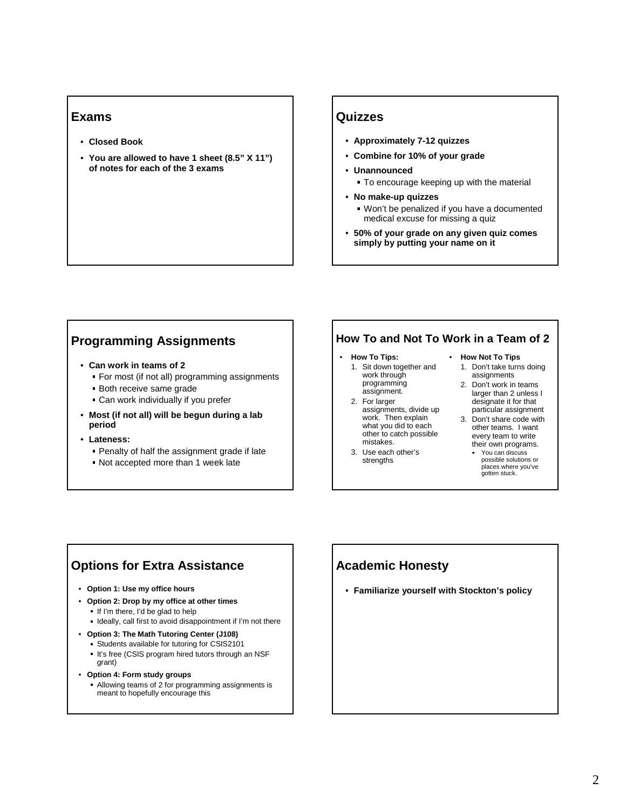#### **Exams**

- **Closed Book**
- **You are allowed to have 1 sheet (8.5" X 11") of notes for each of the 3 exams**

#### **Quizzes**

- **Approximately 7-12 quizzes**
- **Combine for 10% of your grade**
- **Unannounced**
	- To encourage keeping up with the material
- **No make-up quizzes**
	- Won't be penalized if you have a documented medical excuse for missing a quiz
- **50% of your grade on any given quiz comes simply by putting your name on it**

## **Programming Assignments**

- **Can work in teams of 2** 
	- For most (if not all) programming assignments
	- Both receive same grade
	- Can work individually if you prefer
- **Most (if not all) will be begun during a lab period**
- **Lateness:** 
	- Penalty of half the assignment grade if late
	- Not accepted more than 1 week late

#### **How To and Not To Work in a Team of 2**

- **How To Tips:** 1. Sit down together and
	- work through programming assignment.
- 2. For larger assignments, divide up work. Then explain what you did to each other to catch possible mistakes.
- 3. Use each other's strengths

### • **How Not To Tips**

- 1. Don't take turns doing assignments
- 2. Don't work in teams larger than 2 unless I designate it for that particular assignment
- 3. Don't share code with other teams. I want every team to write their own programs.
	- You can discuss possible solutions or places where you've gotten stuck.

## **Options for Extra Assistance**

- **Option 1: Use my office hours**
- **Option 2: Drop by my office at other times**
	- If I'm there, I'd be glad to help
	- Ideally, call first to avoid disappointment if I'm not there
- **Option 3: The Math Tutoring Center (J108)**
	- Students available for tutoring for CSIS2101
	- It's free (CSIS program hired tutors through an NSF grant)
- **Option 4: Form study groups** Allowing teams of 2 for programming assignments is

#### meant to hopefully encourage this

## **Academic Honesty**

• **Familiarize yourself with Stockton's policy**